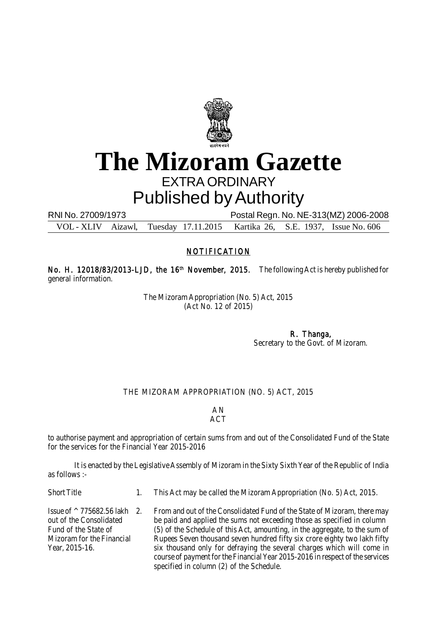

## **The Mizoram Gazette** EXTRA ORDINARY Published by Authority

RNI No. 27009/1973 Postal Regn. No. NE-313(MZ) 2006-2008 VOL - XLIV Aizawl, Tuesday 17.11.2015 Kartika 26, S.E. 1937, Issue No. 606

## NOTIFICATION

No. H. 12018/83/2013-LJD, the 16<sup>th</sup> November, 2015. The following Act is hereby published for general information.

> The Mizoram Appropriation (No. 5) Act, 2015 (Act No. 12 of 2015)

> > R. Thanga, Secretary to the Govt. of Mizoram.

## THE MIZORAM APPROPRIATION (NO. 5) ACT, 2015

AN ACT

to authorise payment and appropriation of certain sums from and out of the Consolidated Fund of the State for the services for the Financial Year 2015-2016

It is enacted by the Legislative Assembly of Mizoram in the Sixty Sixth Year of the Republic of India as follows :-

Short Title 1. This Act may be called the Mizoram Appropriation (No. 5) Act, 2015.

Issue of  $\land$  775682.56 lakh 2. From and out of the Consolidated Fund of the State of Mizoram, there may out of the Consolidated be paid and applied the sums not exceeding those as specified in column be paid and applied the sums not exceeding those as specified in column Fund of the State of (5) of the Schedule of this Act, amounting, in the aggregate, to the sum of Mizoram for the Financial Rupees Seven thousand seven hundred fifty six crore eighty two lakh fifty Year, 2015-16. six thousand only for defraying the several charges which will come in course of payment for the Financial Year 2015-2016 in respect of the services specified in column (2) of the Schedule.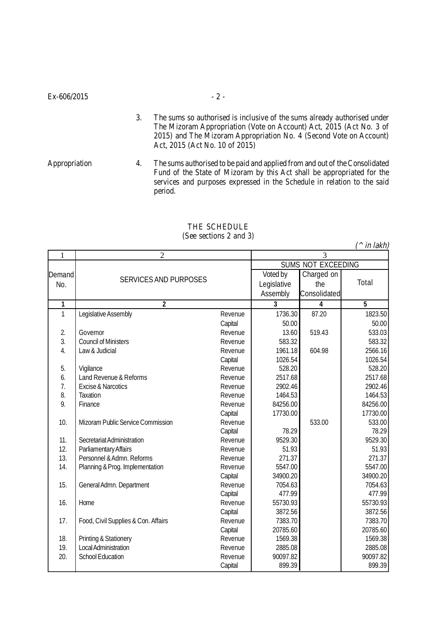- 3. The sums so authorised is inclusive of the sums already authorised under The Mizoram Appropriation (Vote on Account) Act, 2015 (Act No. 3 of 2015) and The Mizoram Appropriation No. 4 (Second Vote on Account) Act, 2015 (Act No. 10 of 2015)
- Appropriation 4. The sums authorised to be paid and applied from and out of the Consolidated Fund of the State of Mizoram by this Act shall be appropriated for the services and purposes expressed in the Schedule in relation to the said period.

|                  |                                     |                |                           |              | ın iakn) |  |
|------------------|-------------------------------------|----------------|---------------------------|--------------|----------|--|
| $\mathbf{1}$     | $\overline{2}$                      | $\overline{3}$ |                           |              |          |  |
|                  |                                     |                | <b>SUMS NOT EXCEEDING</b> |              |          |  |
| Demand           | <b>SERVICES AND PURPOSES</b>        |                | Voted by                  | Charged on   |          |  |
| No.              |                                     |                | Legislative               | the          | Total    |  |
|                  |                                     |                | Assembly                  | Consolidated |          |  |
| 1                | $\overline{2}$                      |                | 3                         | 4            | 5        |  |
| $\mathbf{1}$     | Legislative Assembly                | Revenue        | 1736.30                   | 87.20        | 1823.50  |  |
|                  |                                     | Capital        | 50.00                     |              | 50.00    |  |
| 2.               | Governor                            | Revenue        | 13.60                     | 519.43       | 533.03   |  |
| $\overline{3}$ . | <b>Council of Ministers</b>         | Revenue        | 583.32                    |              | 583.32   |  |
| 4.               | Law & Judicial                      | Revenue        | 1961.18                   | 604.98       | 2566.16  |  |
|                  |                                     | Capital        | 1026.54                   |              | 1026.54  |  |
| 5.               | Vigilance                           | Revenue        | 528.20                    |              | 528.20   |  |
| 6.               | Land Revenue & Reforms              | Revenue        | 2517.68                   |              | 2517.68  |  |
| $\overline{7}$ . | Excise & Narcotics                  | Revenue        | 2902.46                   |              | 2902.46  |  |
| 8.               | <b>Taxation</b>                     | Revenue        | 1464.53                   |              | 1464.53  |  |
| 9.               | Finance                             | Revenue        | 84256.00                  |              | 84256.00 |  |
|                  |                                     | Capital        | 17730.00                  |              | 17730.00 |  |
| 10.              | Mizoram Public Service Commission   | Revenue        |                           | 533.00       | 533.00   |  |
|                  |                                     | Capital        | 78.29                     |              | 78.29    |  |
| 11.              | Secretariat Administration          | Revenue        | 9529.30                   |              | 9529.30  |  |
| 12.              | Parliamentary Affairs               | Revenue        | 51.93                     |              | 51.93    |  |
| 13.              | Personnel & Admn. Reforms           | Revenue        | 271.37                    |              | 271.37   |  |
| 14.              | Planning & Prog. Implementation     | Revenue        | 5547.00                   |              | 5547.00  |  |
|                  |                                     | Capital        | 34900.20                  |              | 34900.20 |  |
| 15.              | General Admn. Department            | Revenue        | 7054.63                   |              | 7054.63  |  |
|                  |                                     | Capital        | 477.99                    |              | 477.99   |  |
| 16.              | Home                                | Revenue        | 55730.93                  |              | 55730.93 |  |
|                  |                                     | Capital        | 3872.56                   |              | 3872.56  |  |
| 17.              | Food, Civil Supplies & Con. Affairs | Revenue        | 7383.70                   |              | 7383.70  |  |
|                  |                                     | Capital        | 20785.60                  |              | 20785.60 |  |
| 18.              | Printing & Stationery               | Revenue        | 1569.38                   |              | 1569.38  |  |
| 19.              | <b>Local Administration</b>         | Revenue        | 2885.08                   |              | 2885.08  |  |
| 20.              | <b>School Education</b>             | Revenue        | 90097.82                  |              | 90097.82 |  |
|                  |                                     | Capital        | 899.39                    |              | 899.39   |  |

## THE SCHEDULE (See sections 2 and 3)

 $($ <sup>1</sup>  $\frac{1}{2}$   $\frac{1}{2}$   $\frac{1}{2}$